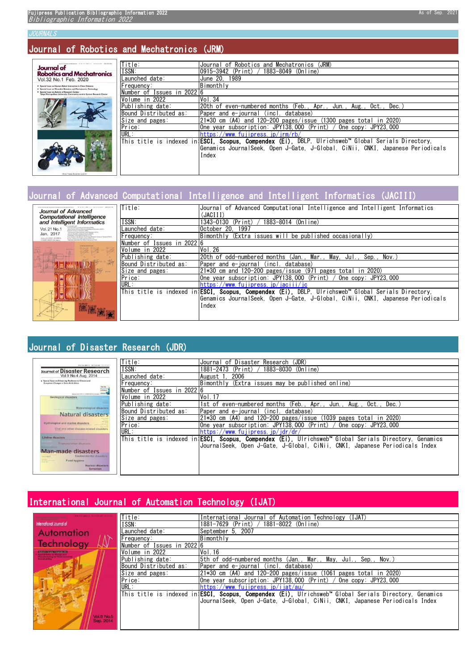#### JOURNALS

### Journal of Robotics and Mechatronics (JRM)

| contributor estimates 6119 for seniors incurrences seniorships<br><b>Journal of</b>                                          | Title:                     | Journal of Robotics and Mechatronics<br>(JRM)                                                             |
|------------------------------------------------------------------------------------------------------------------------------|----------------------------|-----------------------------------------------------------------------------------------------------------|
| <b>Robotics and Mechatronics</b>                                                                                             | ISSN:                      | (Print)<br>1883-8049 (Online)<br>0915-3942                                                                |
| Vol.32 No.1 Feb. 2020                                                                                                        | Launched date:             | June 20. 1989                                                                                             |
| Special Juuan on Human-Robot Interaction in Close Distance<br>Special Issue on Wearable Robotics and Mechatronics Technology | Frequency:                 | Bimonthly                                                                                                 |
| Special Issue on Activity of Research Center-<br>Tokyo Metropolitan University: Community-centric System Research Center     | Number of Issues in 202216 |                                                                                                           |
| pened of Boherica and Michaironics in indeped in USCI, however Composites                                                    | Volume in 2022             | Vol.34                                                                                                    |
|                                                                                                                              | Publishing date:           | 20th of even-numbered months (Feb., Apr., Jun., Aug.,<br>Oct<br>Dec.                                      |
|                                                                                                                              | Bound Distributed as:      | lPaper and e-journal (incl. database)                                                                     |
|                                                                                                                              | Size and pages:            | and 120-200 pages/issue (1300 pages total in 2020)<br>21*30 cm (A4)                                       |
|                                                                                                                              | Price:                     | One year subscription: JPY138,000 (Print) /<br>One $\cos y$ : JPY23.000                                   |
|                                                                                                                              | URL:                       | http://www.fujipress.jp/jrm/rb/                                                                           |
| r.                                                                                                                           |                            | This title is indexed in <b>ESCI, Scopus, Compendex (Ei),</b> DBLP, Ulrichsweb™ Global Serials Directory, |
|                                                                                                                              |                            | Genamics JournalSeek. Open J-Gate. J-Global. CiNii. CNKI. Japanese Periodicals                            |
|                                                                                                                              |                            | Index                                                                                                     |
|                                                                                                                              |                            |                                                                                                           |
|                                                                                                                              |                            |                                                                                                           |

### Journal of Advanced Computational Intelligence and Intelligent Informatics (JACIII)

| Journal of Advanced                                                                                                                                                                                                                                               | Title:                     | Journal of Advanced Computational Intelligence and Intelligent Informatics                                 |
|-------------------------------------------------------------------------------------------------------------------------------------------------------------------------------------------------------------------------------------------------------------------|----------------------------|------------------------------------------------------------------------------------------------------------|
| <b>Computational Intelligence</b>                                                                                                                                                                                                                                 |                            | (JACIII)                                                                                                   |
| and Intelligent Informatics                                                                                                                                                                                                                                       | ISSN:                      | 1343–0130<br>1883-8014 (Online)<br>(Print)                                                                 |
| Vol. 21 No. 1<br>Journe Sharony for Printing Theory and botellighted in homesters (\$1,972).<br><b>Rigillan Ecksler of Automatics (TRA)</b><br>The Brazily of Instrument and Control Deginerry (IDCE).                                                            | Launched date:             | October 20.<br>- 1997                                                                                      |
| Jan. 2017<br>bine con Neumann Computer Bostony PA/SZYL<br>Americans Fundy Systems Boondy (49-53).<br>Paper Systems and Adeligan's Tachmington Research Statistic of Traitered (FIRS)<br>Information ESCL SCOPES.<br>Kinsal VolkAr et's tutget Busines-(KBS), per- | Frequency:                 | Bimonthly (Extra issues will be published occasionally)                                                    |
| always Appliator for Arthur traitgents (TAA).<br><b>COMPENDEX (EL Index</b> )                                                                                                                                                                                     | Number of Issues in 202216 |                                                                                                            |
|                                                                                                                                                                                                                                                                   | Volume in 2022             | Vol.26                                                                                                     |
|                                                                                                                                                                                                                                                                   | Publishing date:           | Mav. Jul<br>Sep.,<br>20th of odd-numbered months (Jan., Mar.,<br>Nov.                                      |
|                                                                                                                                                                                                                                                                   | Bound Distributed as:      | lPaper and e-iournal (incl. database)                                                                      |
|                                                                                                                                                                                                                                                                   | Size and pages:            | $21*30$ cm and 120-200 pages/issue (971 pages total in 2020)                                               |
|                                                                                                                                                                                                                                                                   | Price:                     | One year subscription: JPY138,000 (Print) / One copy: JPY23,000                                            |
|                                                                                                                                                                                                                                                                   | URL:                       | https://www.fujipress.jp/iaciii/jc                                                                         |
|                                                                                                                                                                                                                                                                   |                            | This title is indexed in <b>¦ESCI, Scopus, Compendex (Ei),</b> DBLP, Ulrichsweb™ Global Serials Directory, |
|                                                                                                                                                                                                                                                                   |                            | lGenamics JournalSeek. Open J-Gate. J-Global. CiNii. CNKI. Japanese Periodicals                            |
|                                                                                                                                                                                                                                                                   |                            | Index                                                                                                      |
|                                                                                                                                                                                                                                                                   |                            |                                                                                                            |

## Journal of Disaster Research (JDR)

| nia nia senita. Valencenae: distintist                                                        | Title:                     | Journal of Disaster Research (JDR)                                                                            |
|-----------------------------------------------------------------------------------------------|----------------------------|---------------------------------------------------------------------------------------------------------------|
| Journal of Disaster Research                                                                  | ISSN:                      | 1883-8030 (Online)<br>1881-2473<br>(Print)                                                                    |
| Vol.9 No.4 Aug. 2014                                                                          | Launched date:             | 2006<br>August 1                                                                                              |
| Special Issue on Enhancing Resilience to Climate and<br>Ecosystem Changes in Semi-Arid Africa | Frequency:                 | Bimonthly (Extra issues may be published online)                                                              |
| This life<br><b>Mindsoro</b><br>a Soque                                                       | Number of Issues in 2022 6 |                                                                                                               |
| Julius/autotates: contribution divisions<br><b>Geological disasters</b>                       | Volume in 2022             | Vol. 17                                                                                                       |
| Meteorological disasters                                                                      | Publishing date:           | 1st of even-numbered months (Feb., Apr., Jun., Aug.,<br>Oct. .<br>Dec.                                        |
| <b>Natural disasters</b>                                                                      | Bound Distributed as:      | Paper and e-journal<br>(incl. database)                                                                       |
|                                                                                               | Size and pages:            | 21*30 cm (A4) and 120-200 pages/issue (1039 pages total in 2020)                                              |
| Hydrological and marine disasters                                                             | Price:                     | One year subscription: JPY138,000 (Print) /<br>One $\cos y$ : JPY23.000                                       |
| Viral and other disease-related disasters                                                     | URL:                       | http://www.fuiipress.ip/idr/dr/                                                                               |
| <b>Lifeline disasters</b>                                                                     |                            | This title is indexed in <b>!ESCI. Scopus. Compendex (Ei).</b> Ulrichsweb™ Global Serials Directory, Genamics |
| Transportation disasters                                                                      |                            | JournalSeek. Open J-Gate. J-Global. CiNii. CNKI. Japanese Periodicals Index                                   |
| <b>Man-made disasters</b><br>Environmental disasters                                          |                            |                                                                                                               |
| Food hygiene                                                                                  |                            |                                                                                                               |
| Nuclear disasters<br>Terrorism                                                                |                            |                                                                                                               |
|                                                                                               |                            |                                                                                                               |

## International Journal of Automation Technology (IJAT)

|                                                                                      | Title:                     | Journal of Automation Technology (IJAT)<br>International                                                                  |
|--------------------------------------------------------------------------------------|----------------------------|---------------------------------------------------------------------------------------------------------------------------|
| <b>International Journal of</b>                                                      | ISSN:                      | 1881-7629 (Print)<br>$1881 - 8022$ (Online)                                                                               |
| <b>Automation</b>                                                                    | -aunched date:             | September 5, 2007                                                                                                         |
|                                                                                      | Frequency:                 | Bimonthly                                                                                                                 |
|                                                                                      | Number of Issues in 2022 6 |                                                                                                                           |
| Indoned in Scopuc Compendex (Et)                                                     | Volume in 2022             | Vol. 16                                                                                                                   |
|                                                                                      | Publishing date:           | [5th of odd-numbered months (Jan., Mar., May, Jul., Sep., Nov.)                                                           |
|                                                                                      | Bound Distributed as:      | Paper and e-journal (incl. database)                                                                                      |
|                                                                                      | Size and pages:            | $ 21*30$ cm (A4) and 120-200 pages/issue (1061 pages total in 2020)                                                       |
|                                                                                      | Price:                     | One year subscription: JPY138,000 (Print) /<br>One copy: JPY23.000                                                        |
|                                                                                      | URL:                       | http://www.fuiipress.ip/iiat/au/                                                                                          |
|                                                                                      |                            | This title is indexed in <b>ESCI, Scopus, Compendex (Ei)</b> , Ulrichsweb <sup>w</sup> Global Serials Directory, Genamics |
|                                                                                      |                            | JournalSeek, Open J-Gate, J-Global, CiNii, CNKI, Japanese Periodicals Index                                               |
|                                                                                      |                            |                                                                                                                           |
|                                                                                      |                            |                                                                                                                           |
|                                                                                      |                            |                                                                                                                           |
| <b>Technology</b><br><b>Manufacturing for Environment</b><br>Vol.8 No.5<br>Sep. 2014 |                            |                                                                                                                           |